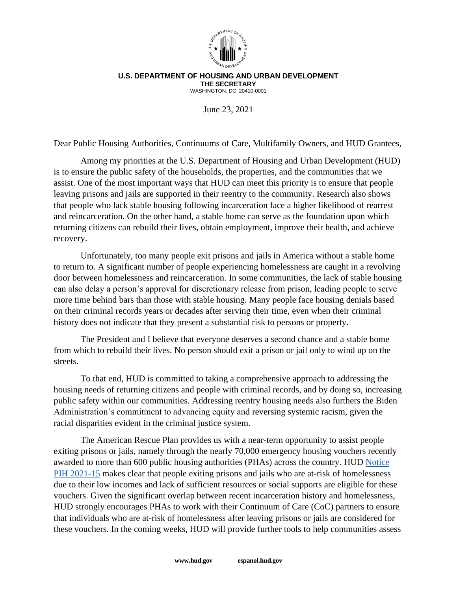

## **U.S. DEPARTMENT OF HOUSING AND URBAN DEVELOPMENT THE SECRETARY** WASHINGTON, DC 20410-0001

June 23, 2021

Dear Public Housing Authorities, Continuums of Care, Multifamily Owners, and HUD Grantees,

Among my priorities at the U.S. Department of Housing and Urban Development (HUD) is to ensure the public safety of the households, the properties, and the communities that we assist. One of the most important ways that HUD can meet this priority is to ensure that people leaving prisons and jails are supported in their reentry to the community. Research also shows that people who lack stable housing following incarceration face a higher likelihood of rearrest and reincarceration. On the other hand, a stable home can serve as the foundation upon which returning citizens can rebuild their lives, obtain employment, improve their health, and achieve recovery.

Unfortunately, too many people exit prisons and jails in America without a stable home to return to. A significant number of people experiencing homelessness are caught in a revolving door between homelessness and reincarceration. In some communities, the lack of stable housing can also delay a person's approval for discretionary release from prison, leading people to serve more time behind bars than those with stable housing. Many people face housing denials based on their criminal records years or decades after serving their time, even when their criminal history does not indicate that they present a substantial risk to persons or property.

The President and I believe that everyone deserves a second chance and a stable home from which to rebuild their lives. No person should exit a prison or jail only to wind up on the streets.

To that end, HUD is committed to taking a comprehensive approach to addressing the housing needs of returning citizens and people with criminal records, and by doing so, increasing public safety within our communities. Addressing reentry housing needs also furthers the Biden Administration's commitment to advancing equity and reversing systemic racism, given the racial disparities evident in the criminal justice system.

The American Rescue Plan provides us with a near-term opportunity to assist people exiting prisons or jails, namely through the nearly 70,000 emergency housing vouchers recently awarded to more than 600 public housing authorities (PHAs) across the country. HUD [Notice](https://www.hud.gov/sites/dfiles/PIH/documents/PIH2021-15.pdf)  [PIH 2021-15](https://www.hud.gov/sites/dfiles/PIH/documents/PIH2021-15.pdf) makes clear that people exiting prisons and jails who are at-risk of homelessness due to their low incomes and lack of sufficient resources or social supports are eligible for these vouchers. Given the significant overlap between recent incarceration history and homelessness, HUD strongly encourages PHAs to work with their Continuum of Care (CoC) partners to ensure that individuals who are at-risk of homelessness after leaving prisons or jails are considered for these vouchers. In the coming weeks, HUD will provide further tools to help communities assess